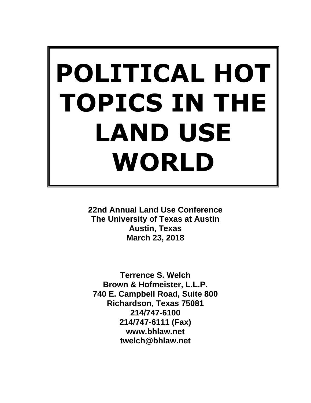# **POLITICAL HOT TOPICS IN THE LAND USE WORLD**

**22nd Annual Land Use Conference The University of Texas at Austin Austin, Texas March 23, 2018**

**Terrence S. Welch Brown & Hofmeister, L.L.P. 740 E. Campbell Road, Suite 800 Richardson, Texas 75081 214/747-6100 214/747-6111 (Fax) www.bhlaw.net twelch@bhlaw.net**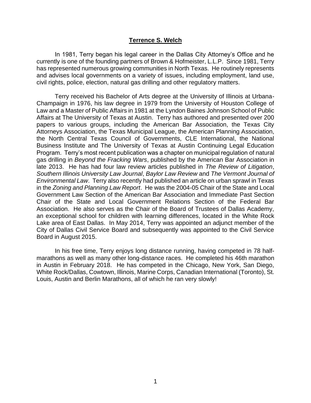#### **Terrence S. Welch**

In 1981, Terry began his legal career in the Dallas City Attorney's Office and he currently is one of the founding partners of Brown & Hofmeister, L.L.P. Since 1981, Terry has represented numerous growing communities in North Texas. He routinely represents and advises local governments on a variety of issues, including employment, land use, civil rights, police, election, natural gas drilling and other regulatory matters.

Terry received his Bachelor of Arts degree at the University of Illinois at Urbana-Champaign in 1976, his law degree in 1979 from the University of Houston College of Law and a Master of Public Affairs in 1981 at the Lyndon Baines Johnson School of Public Affairs at The University of Texas at Austin. Terry has authored and presented over 200 papers to various groups, including the American Bar Association, the Texas City Attorneys Association, the Texas Municipal League, the American Planning Association, the North Central Texas Council of Governments, CLE International, the National Business Institute and The University of Texas at Austin Continuing Legal Education Program. Terry's most recent publication was a chapter on municipal regulation of natural gas drilling in *Beyond the Fracking Wars*, published by the American Bar Association in late 2013. He has had four law review articles published in *The Review of Litigation*, *Southern Illinois University Law Journal*, *Baylor Law Review* and *The Vermont Journal of Environmental Law*. Terry also recently had published an article on urban sprawl in Texas in the *Zoning and Planning Law Report*. He was the 2004-05 Chair of the State and Local Government Law Section of the American Bar Association and Immediate Past Section Chair of the State and Local Government Relations Section of the Federal Bar Association. He also serves as the Chair of the Board of Trustees of Dallas Academy, an exceptional school for children with learning differences, located in the White Rock Lake area of East Dallas. In May 2014, Terry was appointed an adjunct member of the City of Dallas Civil Service Board and subsequently was appointed to the Civil Service Board in August 2015.

In his free time, Terry enjoys long distance running, having competed in 78 halfmarathons as well as many other long-distance races. He completed his 46th marathon in Austin in February 2018. He has competed in the Chicago, New York, San Diego, White Rock/Dallas, Cowtown, Illinois, Marine Corps, Canadian International (Toronto), St. Louis, Austin and Berlin Marathons, all of which he ran very slowly!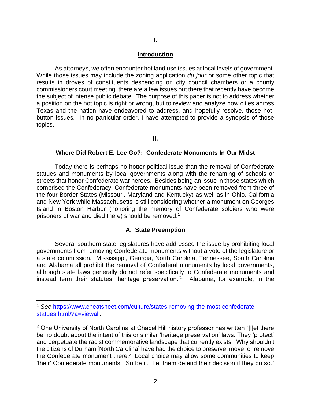# **I.**

#### **Introduction**

As attorneys, we often encounter hot land use issues at local levels of government. While those issues may include the zoning application *du jour* or some other topic that results in droves of constituents descending on city council chambers or a county commissioners court meeting, there are a few issues out there that recently have become the subject of intense public debate. The purpose of this paper is not to address whether a position on the hot topic is right or wrong, but to review and analyze how cities across Texas and the nation have endeavored to address, and hopefully resolve, those hotbutton issues. In no particular order, I have attempted to provide a synopsis of those topics.

**II.**

#### **Where Did Robert E. Lee Go?: Confederate Monuments In Our Midst**

Today there is perhaps no hotter political issue than the removal of Confederate statues and monuments by local governments along with the renaming of schools or streets that honor Confederate war heroes. Besides being an issue in those states which comprised the Confederacy, Confederate monuments have been removed from three of the four Border States (Missouri, Maryland and Kentucky) as well as in Ohio, California and New York while Massachusetts is still considering whether a monument on Georges Island in Boston Harbor (honoring the memory of Confederate soldiers who were prisoners of war and died there) should be removed.<sup>1</sup>

#### **A. State Preemption**

Several southern state legislatures have addressed the issue by prohibiting local governments from removing Confederate monuments without a vote of the legislature or a state commission. Mississippi, Georgia, North Carolina, Tennessee, South Carolina and Alabama all prohibit the removal of Confederal monuments by local governments, although state laws generally do not refer specifically to Confederate monuments and instead term their statutes "heritage preservation." 2 Alabama, for example, in the

<sup>1</sup> *See* [https://www.cheatsheet.com/culture/states-removing-the-most-confederate](https://www.cheatsheet.com/culture/states-removing-the-most-confederate-statues.html/?a=viewall)[statues.html/?a=viewall.](https://www.cheatsheet.com/culture/states-removing-the-most-confederate-statues.html/?a=viewall)

<sup>&</sup>lt;sup>2</sup> One University of North Carolina at Chapel Hill history professor has written "[I]et there be no doubt about the intent of this or similar 'heritage preservation' laws: They 'protect' and perpetuate the racist commemorative landscape that currently exists. Why shouldn't the citizens of Durham [North Carolina] have had the choice to preserve, move, or remove the Confederate monument there? Local choice may allow some communities to keep 'their' Confederate monuments. So be it. Let them defend their decision if they do so."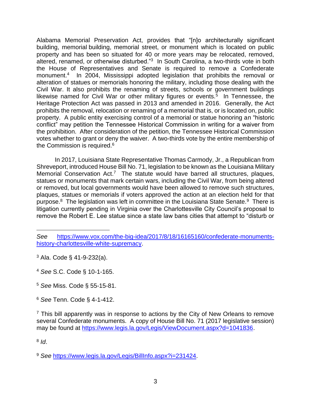Alabama Memorial Preservation Act, provides that "[n]o architecturally significant building, memorial building, memorial street, or monument which is located on public property and has been so situated for 40 or more years may be relocated, removed, altered, renamed, or otherwise disturbed."<sup>3</sup> In South Carolina, a two-thirds vote in both the House of Representatives and Senate is required to remove a Confederate monument.<sup>4</sup> In 2004, Mississippi adopted legislation that prohibits the removal or alteration of statues or memorials honoring the military, including those dealing with the Civil War. It also prohibits the renaming of streets, schools or government buildings likewise named for Civil War or other military figures or events.<sup>5</sup> In Tennessee, the Heritage Protection Act was passed in 2013 and amended in 2016. Generally, the Act prohibits the removal, relocation or renaming of a memorial that is, or is located on, public property. A public entity exercising control of a memorial or statue honoring an "historic conflict" may petition the Tennessee Historical Commission in writing for a waiver from the prohibition. After consideration of the petition, the Tennessee Historical Commission votes whether to grant or deny the waiver. A two-thirds vote by the entire membership of the Commission is required.<sup>6</sup>

In 2017, Louisiana State Representative Thomas Carmody, Jr., a Republican from Shreveport, introduced House Bill No. 71, legislation to be known as the Louisiana Military Memorial Conservation Act.<sup>7</sup> The statute would have barred all structures, plaques, statues or monuments that mark certain wars, including the Civil War, from being altered or removed, but local governments would have been allowed to remove such structures, plaques, statues or memorials if voters approved the action at an election held for that purpose.<sup>8</sup> The legislation was left in committee in the Louisiana State Senate.<sup>9</sup> There is litigation currently pending in Virginia over the Charlottesville City Council's proposal to remove the Robert E. Lee statue since a state law bans cities that attempt to "disturb or

8 *Id*.

*See* [https://www.vox.com/the-big-idea/2017/8/18/16165160/confederate-monuments](https://www.vox.com/the-big-idea/2017/8/18/16165160/confederate-monuments-history-charlottesville-white-supremacy)[history-charlottesville-white-supremacy.](https://www.vox.com/the-big-idea/2017/8/18/16165160/confederate-monuments-history-charlottesville-white-supremacy)

<sup>3</sup> Ala. Code § 41-9-232(a).

<sup>4</sup> *See* S.C. Code § 10-1-165.

<sup>5</sup> *See* Miss. Code § 55-15-81.

<sup>6</sup> *See* Tenn. Code § 4-1-412.

 $7$  This bill apparently was in response to actions by the City of New Orleans to remove several Confederate monuments. A copy of House Bill No. 71 (2017 legislative session) may be found at [https://www.legis.la.gov/Legis/ViewDocument.aspx?d=1041836.](https://www.legis.la.gov/Legis/ViewDocument.aspx?d=1041836)

<sup>9</sup> *See* [https://www.legis.la.gov/Legis/BillInfo.aspx?i=231424.](https://www.legis.la.gov/Legis/BillInfo.aspx?i=231424)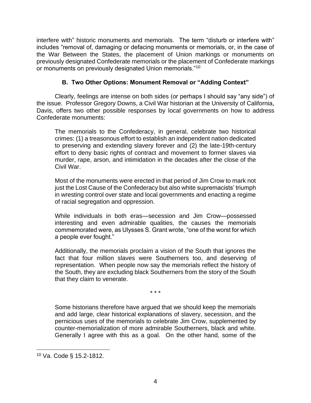interfere with" historic monuments and memorials. The term "disturb or interfere with" includes "removal of, damaging or defacing monuments or memorials, or, in the case of the War Between the States, the placement of Union markings or monuments on previously designated Confederate memorials or the placement of Confederate markings or monuments on previously designated Union memorials."<sup>10</sup>

# **B. Two Other Options: Monument Removal or "Adding Context"**

Clearly, feelings are intense on both sides (or perhaps I should say "any side") of the issue. Professor Gregory Downs, a Civil War historian at the University of California, Davis, offers two other possible responses by local governments on how to address Confederate monuments:

The memorials to the Confederacy, in general, celebrate two historical crimes: (1) a treasonous effort to establish an independent nation dedicated to preserving and extending slavery forever and (2) the late-19th-century effort to deny basic rights of contract and movement to former slaves via murder, rape, arson, and intimidation in the decades after the close of the Civil War.

Most of the monuments were erected in that period of Jim Crow to mark not just the Lost Cause of the Confederacy but also white supremacists' triumph in wresting control over state and local governments and enacting a regime of racial segregation and oppression.

While individuals in both eras—secession and Jim Crow—possessed interesting and even admirable qualities, the causes the memorials commemorated were, as Ulysses S. Grant wrote, "one of the worst for which a people ever fought."

Additionally, the memorials proclaim a vision of the South that ignores the fact that four million slaves were Southerners too, and deserving of representation. When people now say the memorials reflect the history of the South, they are excluding black Southerners from the story of the South that they claim to venerate.

\* \* \*

Some historians therefore have argued that we should keep the memorials and add large, clear historical explanations of slavery, secession, and the pernicious uses of the memorials to celebrate Jim Crow, supplemented by counter-memorialization of more admirable Southerners, black and white. Generally I agree with this as a goal. On the other hand, some of the

<sup>10</sup> Va. Code § 15.2-1812.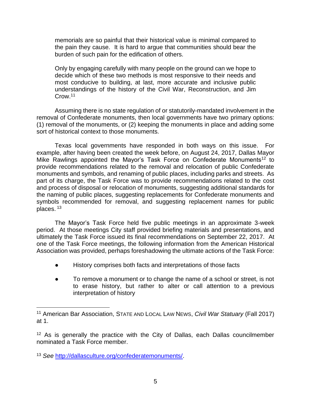memorials are so painful that their historical value is minimal compared to the pain they cause. It is hard to argue that communities should bear the burden of such pain for the edification of others.

Only by engaging carefully with many people on the ground can we hope to decide which of these two methods is most responsive to their needs and most conducive to building, at last, more accurate and inclusive public understandings of the history of the Civil War, Reconstruction, and Jim Crow.<sup>11</sup>

Assuming there is no state regulation of or statutorily-mandated involvement in the removal of Confederate monuments, then local governments have two primary options: (1) removal of the monuments, or (2) keeping the monuments in place and adding some sort of historical context to those monuments.

Texas local governments have responded in both ways on this issue. For example, after having been created the week before, on August 24, 2017, Dallas Mayor Mike Rawlings appointed the Mayor's Task Force on Confederate Monuments<sup>12</sup> to provide recommendations related to the removal and relocation of public Confederate monuments and symbols, and renaming of public places, including parks and streets. As part of its charge, the Task Force was to provide recommendations related to the cost and process of disposal or relocation of monuments, suggesting additional standards for the naming of public places, suggesting replacements for Confederate monuments and symbols recommended for removal, and suggesting replacement names for public places. <sup>13</sup>

The Mayor's Task Force held five public meetings in an approximate 3-week period. At those meetings City staff provided briefing materials and presentations, and ultimately the Task Force issued its final recommendations on September 22, 2017. At one of the Task Force meetings, the following information from the American Historical Association was provided, perhaps foreshadowing the ultimate actions of the Task Force:

- History comprises both facts and interpretations of those facts
- To remove a monument or to change the name of a school or street, is not to erase history, but rather to alter or call attention to a previous interpretation of history

<sup>11</sup> American Bar Association, STATE AND LOCAL LAW NEWS, *Civil War Statuary* (Fall 2017) at 1.

<sup>&</sup>lt;sup>12</sup> As is generally the practice with the City of Dallas, each Dallas councilmember nominated a Task Force member.

<sup>13</sup> *See* [http://dallasculture.org/confederatemonuments/.](http://dallasculture.org/confederatemonuments/)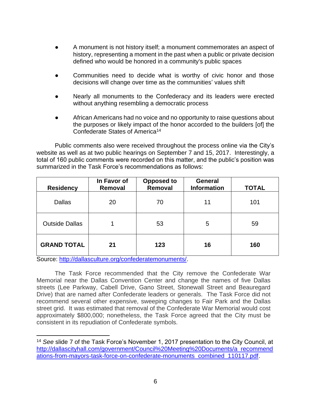- A monument is not history itself; a monument commemorates an aspect of history, representing a moment in the past when a public or private decision defined who would be honored in a community's public spaces
- Communities need to decide what is worthy of civic honor and those decisions will change over time as the communities' values shift
- Nearly all monuments to the Confederacy and its leaders were erected without anything resembling a democratic process
- African Americans had no voice and no opportunity to raise questions about the purposes or likely impact of the honor accorded to the builders [of] the Confederate States of America<sup>14</sup>

Public comments also were received throughout the process online via the City's website as well as at two public hearings on September 7 and 15, 2017. Interestingly, a total of 160 public comments were recorded on this matter, and the public's position was summarized in the Task Force's recommendations as follows:

| <b>Residency</b>      | In Favor of<br>Removal | <b>Opposed to</b><br>Removal | <b>General</b><br><b>Information</b> | <b>TOTAL</b> |
|-----------------------|------------------------|------------------------------|--------------------------------------|--------------|
| <b>Dallas</b>         | 20                     | 70                           | 11                                   | 101          |
| <b>Outside Dallas</b> |                        | 53                           | 5                                    | 59           |
| <b>GRAND TOTAL</b>    | 21                     | 123                          | 16                                   | 160          |

Source: [http://dallasculture.org/confederatemonuments/.](http://dallasculture.org/confederatemonuments/)

The Task Force recommended that the City remove the Confederate War Memorial near the Dallas Convention Center and change the names of five Dallas streets (Lee Parkway, Cabell Drive, Gano Street, Stonewall Street and Beauregard Drive) that are named after Confederate leaders or generals. The Task Force did not recommend several other expensive, sweeping changes to Fair Park and the Dallas street grid. It was estimated that removal of the Confederate War Memorial would cost approximately \$800,000; nonetheless, the Task Force agreed that the City must be consistent in its repudiation of Confederate symbols.

<sup>14</sup> *See* slide 7 of the Task Force's November 1, 2017 presentation to the City Council, at [http://dallascityhall.com/government/Council%20Meeting%20Documents/a\\_recommend](http://dallascityhall.com/government/Council%20Meeting%20Documents/a_recommendations-from-mayors-task-force-on-confederate-monuments_combined_110117.pdf) [ations-from-mayors-task-force-on-confederate-monuments\\_combined\\_110117.pdf.](http://dallascityhall.com/government/Council%20Meeting%20Documents/a_recommendations-from-mayors-task-force-on-confederate-monuments_combined_110117.pdf)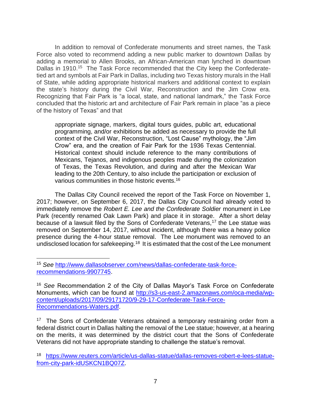In addition to removal of Confederate monuments and street names, the Task Force also voted to recommend adding a new public marker to downtown Dallas by adding a memorial to Allen Brooks, an African-American man lynched in downtown Dallas in 1910.<sup>15</sup> The Task Force recommended that the City keep the Confederatetied art and symbols at Fair Park in Dallas, including two Texas history murals in the Hall of State, while adding appropriate historical markers and additional context to explain the state's history during the Civil War, Reconstruction and the Jim Crow era. Recognizing that Fair Park is "a local, state, and national landmark," the Task Force concluded that the historic art and architecture of Fair Park remain in place "as a piece of the history of Texas" and that

appropriate signage, markers, digital tours guides, public art, educational programming, and/or exhibitions be added as necessary to provide the full context of the Civil War, Reconstruction, "Lost Cause" mythology, the "Jim Crow" era, and the creation of Fair Park for the 1936 Texas Centennial. Historical context should include reference to the many contributions of Mexicans, Tejanos, and indigenous peoples made during the colonization of Texas, the Texas Revolution, and during and after the Mexican War leading to the 20th Century, to also include the participation or exclusion of various communities in those historic events.<sup>16</sup>

The Dallas City Council received the report of the Task Force on November 1, 2017; however, on September 6, 2017, the Dallas City Council had already voted to immediately remove the *Robert E. Lee and the Confederate Soldier* monument in Lee Park (recently renamed Oak Lawn Park) and place it in storage. After a short delay because of a lawsuit filed by the Sons of Confederate Veterans,<sup>17</sup> the Lee statue was removed on September 14, 2017, without incident, although there was a heavy police presence during the 4-hour statue removal. The Lee monument was removed to an undisclosed location for safekeeping.<sup>18</sup> It is estimated that the cost of the Lee monument

<sup>17</sup> The Sons of Confederate Veterans obtained a temporary restraining order from a federal district court in Dallas halting the removal of the Lee statue; however, at a hearing on the merits, it was determined by the district court that the Sons of Confederate Veterans did not have appropriate standing to challenge the statue's removal.

<sup>15</sup> *See* [http://www.dallasobserver.com/news/dallas-confederate-task-force](http://www.dallasobserver.com/news/dallas-confederate-task-force-recommendations-9907745)[recommendations-9907745.](http://www.dallasobserver.com/news/dallas-confederate-task-force-recommendations-9907745)

<sup>16</sup> *See* Recommendation 2 of the City of Dallas Mayor's Task Force on Confederate Monuments, which can be found at [http://s3-us-east-2.amazonaws.com/oca-media/wp](http://s3-us-east-2.amazonaws.com/oca-media/wp-content/uploads/2017/09/29171720/9-29-17-Confederate-Task-Force-Recommendations-Waters.pdf)[content/uploads/2017/09/29171720/9-29-17-Confederate-Task-Force-](http://s3-us-east-2.amazonaws.com/oca-media/wp-content/uploads/2017/09/29171720/9-29-17-Confederate-Task-Force-Recommendations-Waters.pdf)[Recommendations-Waters.pdf.](http://s3-us-east-2.amazonaws.com/oca-media/wp-content/uploads/2017/09/29171720/9-29-17-Confederate-Task-Force-Recommendations-Waters.pdf)

<sup>18</sup> [https://www.reuters.com/article/us-dallas-statue/dallas-removes-robert-e-lees-statue](https://www.reuters.com/article/us-dallas-statue/dallas-removes-robert-e-lees-statue-from-city-park-idUSKCN1BQ07Z)[from-city-park-idUSKCN1BQ07Z.](https://www.reuters.com/article/us-dallas-statue/dallas-removes-robert-e-lees-statue-from-city-park-idUSKCN1BQ07Z)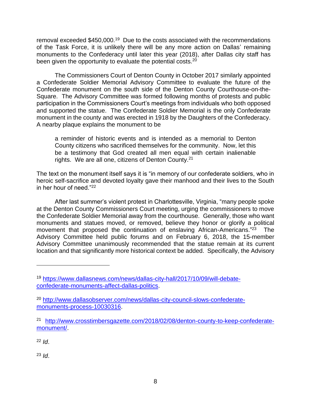removal exceeded \$450,000.<sup>19</sup> Due to the costs associated with the recommendations of the Task Force, it is unlikely there will be any more action on Dallas' remaining monuments to the Confederacy until later this year (2018), after Dallas city staff has been given the opportunity to evaluate the potential costs.<sup>20</sup>

The Commissioners Court of Denton County in October 2017 similarly appointed a Confederate Soldier Memorial Advisory Committee to evaluate the future of the Confederate monument on the south side of the Denton County Courthouse-on-the-Square. The Advisory Committee was formed following months of protests and public participation in the Commissioners Court's meetings from individuals who both opposed and supported the statue. The Confederate Soldier Memorial is the only Confederate monument in the county and was erected in 1918 by the Daughters of the Confederacy. A nearby plaque explains the monument to be

a reminder of historic events and is intended as a memorial to Denton County citizens who sacrificed themselves for the community. Now, let this be a testimony that God created all men equal with certain inalienable rights. We are all one, citizens of Denton County.<sup>21</sup>

The text on the monument itself says it is "in memory of our confederate soldiers, who in heroic self-sacrifice and devoted loyalty gave their manhood and their lives to the South in her hour of need."<sup>22</sup>

After last summer's violent protest in Charlottesville, Virginia, "many people spoke at the Denton County Commissioners Court meeting, urging the commissioners to move the Confederate Soldier Memorial away from the courthouse. Generally, those who want monuments and statues moved, or removed, believe they honor or glorify a political movement that proposed the continuation of enslaving African-Americans."<sup>23</sup> The Advisory Committee held public forums and on February 6, 2018, the 15-member Advisory Committee unanimously recommended that the statue remain at its current location and that significantly more historical context be added. Specifically, the Advisory

<sup>22</sup> *Id*.

<sup>23</sup> *Id*.

<sup>19</sup> [https://www.dallasnews.com/news/dallas-city-hall/2017/10/09/will-debate](https://www.dallasnews.com/news/dallas-city-hall/2017/10/09/will-debate-confederate-monuments-affect-dallas-politics)[confederate-monuments-affect-dallas-politics.](https://www.dallasnews.com/news/dallas-city-hall/2017/10/09/will-debate-confederate-monuments-affect-dallas-politics)

<sup>20</sup> [http://www.dallasobserver.com/news/dallas-city-council-slows-confederate](http://www.dallasobserver.com/news/dallas-city-council-slows-confederate-monuments-process-10030316)[monuments-process-10030316.](http://www.dallasobserver.com/news/dallas-city-council-slows-confederate-monuments-process-10030316)

<sup>&</sup>lt;sup>21</sup> [http://www.crosstimbersgazette.com/2018/02/08/denton-county-to-keep-confederate](http://www.crosstimbersgazette.com/2018/02/08/denton-county-to-keep-confederate-monument/)[monument/.](http://www.crosstimbersgazette.com/2018/02/08/denton-county-to-keep-confederate-monument/)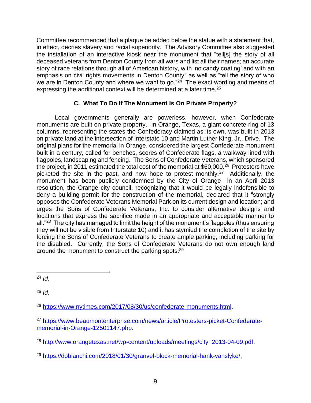Committee recommended that a plaque be added below the statue with a statement that, in effect, decries slavery and racial superiority. The Advisory Committee also suggested the installation of an interactive kiosk near the monument that "tell[s] the story of all deceased veterans from Denton County from all wars and list all their names; an accurate story of race relations through all of American history, with 'no candy coating' and with an emphasis on civil rights movements in Denton County" as well as "tell the story of who we are in Denton County and where we want to go."<sup>24</sup> The exact wording and means of expressing the additional context will be determined at a later time.<sup>25</sup>

# **C. What To Do If The Monument Is On Private Property?**

Local governments generally are powerless, however, when Confederate monuments are built on private property. In Orange, Texas, a giant concrete ring of 13 columns, representing the states the Confederacy claimed as its own, was built in 2013 on private land at the intersection of Interstate 10 and Martin Luther King, Jr., Drive. The original plans for the memorial in Orange, considered the largest Confederate monument built in a century, called for benches, scores of Confederate flags, a walkway lined with flagpoles, landscaping and fencing. The Sons of Confederate Veterans, which sponsored the project, in 2011 estimated the total cost of the memorial at \$60,000.<sup>26</sup> Protestors have picketed the site in the past, and now hope to protest monthly.<sup>27</sup> Additionally, the monument has been publicly condemned by the City of Orange—in an April 2013 resolution, the Orange city council, recognizing that it would be legally indefensible to deny a building permit for the construction of the memorial, declared that it "strongly opposes the Confederate Veterans Memorial Park on its current design and location; and urges the Sons of Confederate Veterans, Inc. to consider alternative designs and locations that express the sacrifice made in an appropriate and acceptable manner to all."<sup>28</sup> The city has managed to limit the height of the monument's flagpoles (thus ensuring they will not be visible from Interstate 10) and it has stymied the completion of the site by forcing the Sons of Confederate Veterans to create ample parking, including parking for the disabled. Currently, the Sons of Confederate Veterans do not own enough land around the monument to construct the parking spots.<sup>29</sup>

 $24$  *Id.* 

<sup>25</sup> *Id*.

<sup>26</sup> [https://www.nytimes.com/2017/08/30/us/confederate-monuments.html.](https://www.nytimes.com/2017/08/30/us/confederate-monuments.html)

<sup>29</sup> [https://dobianchi.com/2018/01/30/granvel-block-memorial-hank-vanslyke/.](https://dobianchi.com/2018/01/30/granvel-block-memorial-hank-vanslyke/)

<sup>27</sup> [https://www.beaumontenterprise.com/news/article/Protesters-picket-Confederate](https://www.beaumontenterprise.com/news/article/Protesters-picket-Confederate-memorial-in-Orange-12501147.php)[memorial-in-Orange-12501147.php.](https://www.beaumontenterprise.com/news/article/Protesters-picket-Confederate-memorial-in-Orange-12501147.php)

<sup>&</sup>lt;sup>28</sup> [http://www.orangetexas.net/wp-content/uploads/meetings/city\\_2013-04-09.pdf.](http://www.orangetexas.net/wp-content/uploads/meetings/city_2013-04-09.pdf)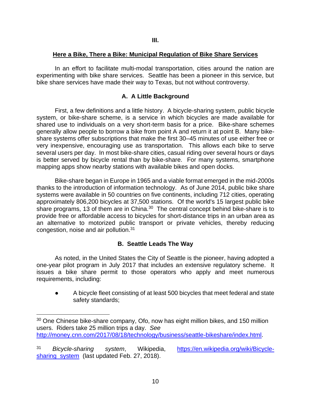#### **Here a Bike, There a Bike: Municipal Regulation of Bike Share Services**

In an effort to facilitate multi-modal transportation, cities around the nation are experimenting with bike share services. Seattle has been a pioneer in this service, but bike share services have made their way to Texas, but not without controversy.

# **A. A Little Background**

First, a few definitions and a little history. A bicycle-sharing system, public bicycle system, or bike-share scheme, is a service in which [bicycles](https://en.wikipedia.org/wiki/Bicycles) are made available for shared use to individuals on a very short-term basis for a price. Bike-share schemes generally allow people to borrow a bike from point A and return it at point B. Many bikeshare systems offer subscriptions that make the first 30–45 minutes of use either free or very inexpensive, encouraging use as transportation. This allows each bike to serve several users per day. In most bike-share cities, casual riding over several hours or days is better served by [bicycle rental](https://en.wikipedia.org/wiki/Bicycle_rental) than by bike-share. For many systems, [smartphone](https://en.wikipedia.org/wiki/Smartphone) mapping apps show nearby stations with available bikes and open docks.

Bike-share began in Europe in 1965 and a viable format emerged in the mid-2000s thanks to the introduction of information technology. As of June 2014, public bike share systems were available in 50 countries on five continents, including 712 cities, operating approximately 806,200 bicycles at 37,500 stations. Of the world's 15 largest public bike share programs, 13 of them are in China.<sup>30</sup> The central concept behind bike-share is to provide free or affordable access to bicycles for short-distance trips in an [urban area](https://en.wikipedia.org/wiki/Urban_area) as an alternative to motorized public transport or private vehicles, thereby reducing congestion, noise and air pollution.<sup>31</sup>

#### **B. Seattle Leads The Way**

As noted, in the United States the City of Seattle is the pioneer, having adopted a one-year pilot program in July 2017 that includes an extensive regulatory scheme. It issues a bike share permit to those operators who apply and meet numerous [requirements,](https://www.seattle.gov/Documents/Departments/SDOT/BikeProgram/BicycleSharePermitRequirements.pdf) including:

● A bicycle fleet consisting of at least 500 bicycles that meet federal and state safety standards;

 $30$  One Chinese bike-share company, Ofo, now has eight million bikes, and 150 million users. Riders take 25 million trips a day. *See* [http://money.cnn.com/2017/08/18/technology/business/seattle-bikeshare/index.html.](http://money.cnn.com/2017/08/18/technology/business/seattle-bikeshare/index.html)

<sup>31</sup> *Bicycle-sharing system*, Wikipedia, [https://en.wikipedia.org/wiki/Bicycle](https://en.wikipedia.org/wiki/Bicycle-sharing_system)sharing system (last updated Feb. 27, 2018).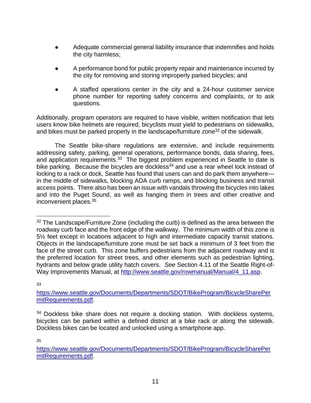- Adequate commercial general liability insurance that indemnifies and holds the city harmless;
- A performance bond for public property repair and maintenance incurred by the city for removing and storing improperly parked bicycles; and
- A staffed operations center in the city and a 24-hour customer service phone number for reporting safety concerns and complaints, or to ask questions.

Additionally, program operators are required to have visible, written notification that lets users know bike helmets are required, bicyclists must yield to pedestrians on sidewalks, and bikes must be parked properly in the [landscape/furniture zone](http://www.seattle.gov/rowmanual/manual/4_11.asp)<sup>32</sup> of the sidewalk.

The Seattle bike-share regulations are extensive, and include requirements addressing safety, parking, general operations, performance bonds, data sharing, fees, and application requirements. $33$  The biggest problem experienced in Seattle to date is bike parking. Because the bicycles are dockless<sup>34</sup> and use a rear wheel lock instead of locking to a rack or dock, Seattle has found that users can and do park them anywhere in the middle of sidewalks, blocking ADA curb ramps, and blocking business and transit access points. There also has been an issue with vandals throwing the bicycles into lakes and into the Puget Sound, as well as hanging them in trees and other creative and inconvenient places.<sup>35</sup>

33

35

<sup>&</sup>lt;sup>32</sup> The Landscape/Furniture Zone (including the curb) is defined as the area between the roadway curb face and the front edge of the walkway. The minimum width of this zone is 5½ feet except in locations adjacent to high and intermediate capacity transit stations. Objects in the landscape/furniture zone must be set back a minimum of 3 feet from the face of the street curb. This zone buffers pedestrians from the adjacent roadway and is the preferred location for street trees, and other elements such as pedestrian lighting, hydrants and below grade utility hatch covers. *See* Section 4.11 of the Seattle Right-of-Way Improvements Manual, at [http://www.seattle.gov/rowmanual/Manual/4\\_11.asp.](http://www.seattle.gov/rowmanual/Manual/4_11.asp)

[https://www.seattle.gov/Documents/Departments/SDOT/BikeProgram/BicycleSharePer](https://www.seattle.gov/Documents/Departments/SDOT/BikeProgram/BicycleSharePermitRequirements.pdf) [mitRequirements.pdf.](https://www.seattle.gov/Documents/Departments/SDOT/BikeProgram/BicycleSharePermitRequirements.pdf)

 $34$  Dockless bike share does not require a docking station. With dockless systems, bicycles can be parked within a defined district at a bike rack or along the sidewalk. Dockless bikes can be located and unlocked using a smartphone app.

[https://www.seattle.gov/Documents/Departments/SDOT/BikeProgram/BicycleSharePer](https://www.seattle.gov/Documents/Departments/SDOT/BikeProgram/BicycleSharePermitRequirements.pdf) [mitRequirements.pdf.](https://www.seattle.gov/Documents/Departments/SDOT/BikeProgram/BicycleSharePermitRequirements.pdf)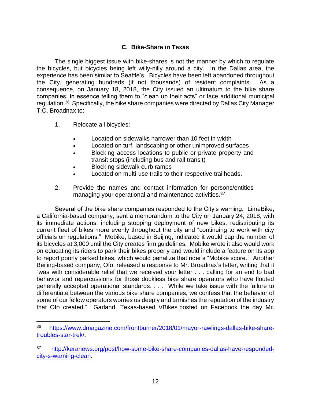# **C. Bike-Share in Texas**

The single biggest issue with bike-shares is not the manner by which to regulate the bicycles, but bicycles being left willy-nilly around a city. In the Dallas area, the experience has been similar to Seattle's. Bicycles have been left abandoned throughout the City, generating hundreds (if not thousands) of resident complaints. As a consequence, on January 18, 2018, the City issued an ultimatum to the bike share companies, in essence telling them to "clean up their acts" or face additional municipal regulation.<sup>36</sup> Specifically, the bike share companies were directed by Dallas City Manager T.C. Broadnax to:

- 1. Relocate all bicycles:
	- Located on sidewalks narrower than 10 feet in width
	- Located on turf, landscaping or other unimproved surfaces
	- Blocking access locations to public or private property and transit stops (including bus and rail transit)
	- Blocking sidewalk curb ramps
	- Located on multi-use trails to their respective trailheads.
- 2. Provide the names and contact information for persons/entities managing your operational and maintenance activities.<sup>37</sup>

Several of the bike share companies responded to the City's warning. LimeBike, a California-based company, sent a memorandum to the City on January 24, 2018, with its immediate actions, including stopping deployment of new bikes, redistributing its current fleet of bikes more evenly throughout the city and "continuing to work with city officials on regulations." Mobike, based in Beijing, indicated it would cap the number of its bicycles at 3,000 until the City creates firm guidelines. Mobike wrote it also would work on educating its riders to park their bikes properly and would include a feature on its app to report poorly parked bikes, which would penalize that rider's "Mobike score." Another Beijing-based company, Ofo, released a response to Mr. Broadnax's letter, writing that it "was with considerable relief that we received your letter . . . calling for an end to bad behavior and repercussions for those dockless bike share operators who have flouted generally accepted operational standards. . . . While we take issue with the failure to differentiate between the various bike share companies, we confess that the behavior of some of our fellow operators worries us deeply and tarnishes the reputation of the industry that Ofo created." Garland, Texas-based VBikes posted on Facebook the day Mr.

<sup>36</sup> [https://www.dmagazine.com/frontburner/2018/01/mayor-rawlings-dallas-bike-share](https://www.dmagazine.com/frontburner/2018/01/mayor-rawlings-dallas-bike-share-troubles-star-trek/)[troubles-star-trek/.](https://www.dmagazine.com/frontburner/2018/01/mayor-rawlings-dallas-bike-share-troubles-star-trek/)

<sup>37</sup> [http://keranews.org/post/how-some-bike-share-companies-dallas-have-responded](http://keranews.org/post/how-some-bike-share-companies-dallas-have-responded-city-s-warning-clean)[city-s-warning-clean.](http://keranews.org/post/how-some-bike-share-companies-dallas-have-responded-city-s-warning-clean)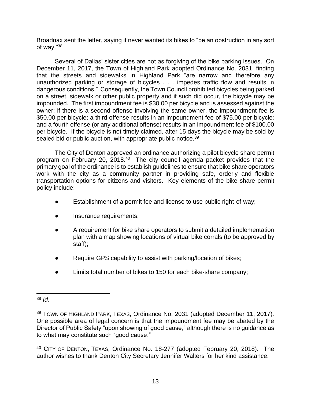Broadnax sent the letter, saying it never wanted its bikes to "be an obstruction in any sort of way."<sup>38</sup>

Several of Dallas' sister cities are not as forgiving of the bike parking issues. On December 11, 2017, the Town of Highland Park adopted Ordinance No. 2031, finding that the streets and sidewalks in Highland Park "are narrow and therefore any unauthorized parking or storage of bicycles . . . impedes traffic flow and results in dangerous conditions." Consequently, the Town Council prohibited bicycles being parked on a street, sidewalk or other public property and if such did occur, the bicycle may be impounded. The first impoundment fee is \$30.00 per bicycle and is assessed against the owner; if there is a second offense involving the same owner, the impoundment fee is \$50.00 per bicycle; a third offense results in an impoundment fee of \$75.00 per bicycle; and a fourth offense (or any additional offense) results in an impoundment fee of \$100.00 per bicycle. If the bicycle is not timely claimed, after 15 days the bicycle may be sold by sealed bid or public auction, with appropriate public notice.<sup>39</sup>

The City of Denton approved an ordinance authorizing a pilot bicycle share permit program on February 20, 2018.<sup>40</sup> The city council agenda packet provides that the primary goal of the ordinance is to establish guidelines to ensure that bike share operators work with the city as a community partner in providing safe, orderly and flexible transportation options for citizens and visitors. Key elements of the bike share permit policy include:

- Establishment of a permit fee and license to use public right-of-way;
- Insurance requirements;
- A requirement for bike share operators to submit a detailed implementation plan with a map showing locations of virtual bike corrals (to be approved by staff);
- Require GPS capability to assist with parking/location of bikes;
- Limits total number of bikes to 150 for each bike-share company;

<sup>38</sup> *Id*.

<sup>&</sup>lt;sup>39</sup> TOWN OF HIGHLAND PARK, TEXAS, Ordinance No. 2031 (adopted December 11, 2017). One possible area of legal concern is that the impoundment fee may be abated by the Director of Public Safety "upon showing of good cause," although there is no guidance as to what may constitute such "good cause."

<sup>&</sup>lt;sup>40</sup> CITY OF DENTON, TEXAS, Ordinance No. 18-277 (adopted February 20, 2018). The author wishes to thank Denton City Secretary Jennifer Walters for her kind assistance.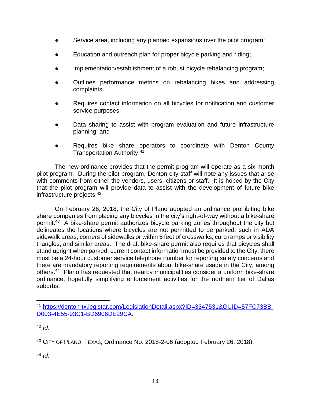- Service area, including any planned expansions over the pilot program;
- Education and outreach plan for proper bicycle parking and riding;
- Implementation/establishment of a robust bicycle rebalancing program;
- Outlines performance metrics on rebalancing bikes and addressing complaints.
- Requires contact information on all bicycles for notification and customer service purposes;
- Data sharing to assist with program evaluation and future infrastructure planning; and
- Requires bike share operators to coordinate with Denton County Transportation Authority. 41

The new ordinance provides that the permit program will operate as a six-month pilot program. During the pilot program, Denton city staff will note any issues that arise with comments from either the vendors, users, citizens or staff. It is hoped by the City that the pilot program will provide data to assist with the development of future bike infrastructure projects.<sup>42</sup>

On February 26, 2018, the City of Plano adopted an ordinance prohibiting bike share companies from placing any bicycles in the city's right-of-way without a bike-share permit.<sup>43</sup> A bike-share permit authorizes bicycle parking zones throughout the city but delineates the locations where bicycles are not permitted to be parked, such in ADA sidewalk areas, corners of sidewalks or within 5 feet of crosswalks, curb ramps or visibility triangles, and similar areas. The draft bike-share permit also requires that bicycles shall stand upright when parked, current contact information must be provided to the City, there must be a 24-hour customer service telephone number for reporting safety concerns and there are mandatory reporting requirements about bike-share usage in the City, among others.<sup>44</sup> Plano has requested that nearby municipalities consider a uniform bike-share ordinance, hopefully simplifying enforcement activities for the northern tier of Dallas suburbs.

<sup>44</sup> *Id*.

<sup>41</sup> [https://denton-tx.legistar.com/LegislationDetail.aspx?ID=3347531&GUID=57FC73BB-](https://denton-tx.legistar.com/LegislationDetail.aspx?ID=3347531&GUID=57FC73BB-D003-4E55-93C1-BD6906DE29CA)[D003-4E55-93C1-BD6906DE29CA.](https://denton-tx.legistar.com/LegislationDetail.aspx?ID=3347531&GUID=57FC73BB-D003-4E55-93C1-BD6906DE29CA)

<sup>42</sup> *Id*.

<sup>43</sup> CITY OF PLANO, TEXAS, Ordinance No. 2018-2-06 (adopted February 26, 2018).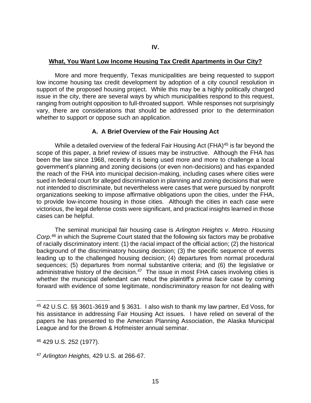#### **What, You Want Low Income Housing Tax Credit Apartments in Our City?**

More and more frequently, Texas municipalities are being requested to support low income housing tax credit development by adoption of a city council resolution in support of the proposed housing project. While this may be a highly politically charged issue in the city, there are several ways by which municipalities respond to this request, ranging from outright opposition to full-throated support. While responses not surprisingly vary, there are considerations that should be addressed prior to the determination whether to support or oppose such an application.

# **A. A Brief Overview of the Fair Housing Act**

While a detailed overview of the federal Fair Housing Act (FHA)<sup>45</sup> is far beyond the scope of this paper, a brief review of issues may be instructive. Although the FHA has been the law since 1968, recently it is being used more and more to challenge a local government's planning and zoning decisions (or even non-decisions) and has expanded the reach of the FHA into municipal decision-making, including cases where cities were sued in federal court for alleged discrimination in planning and zoning decisions that were not intended to discriminate, but nevertheless were cases that were pursued by nonprofit organizations seeking to impose affirmative obligations upon the cities, under the FHA, to provide low-income housing in those cities. Although the cities in each case were victorious, the legal defense costs were significant, and practical insights learned in those cases can be helpful.

The seminal municipal fair housing case is *Arlington Heights v. Metro. Housing Corp*. <sup>46</sup> in which the Supreme Court stated that the following six factors may be probative of racially discriminatory intent: (1) the racial impact of the official action; (2) the historical background of the discriminatory housing decision; (3) the specific sequence of events leading up to the challenged housing decision; (4) departures from normal procedural sequences; (5) departures from normal substantive criteria; and (6) the legislative or administrative history of the decision.<sup>47</sup> The issue in most FHA cases involving cities is whether the municipal defendant can rebut the plaintiff's *prima facie* case by coming forward with evidence of some legitimate, nondiscriminatory reason for not dealing with

<sup>45</sup> 42 U.S.C. §§ 3601-3619 and § 3631. I also wish to thank my law partner, Ed Voss, for his assistance in addressing Fair Housing Act issues. I have relied on several of the papers he has presented to the American Planning Association, the Alaska Municipal League and for the Brown & Hofmeister annual seminar.

<sup>46</sup> 429 U.S. 252 (1977).

<sup>47</sup> *Arlington Heights,* 429 U.S. at 266-67.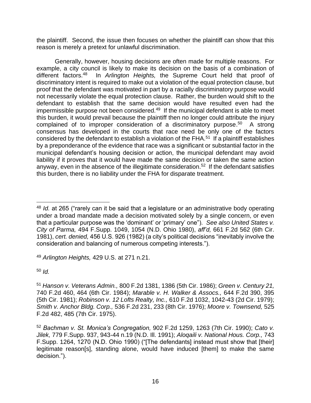the plaintiff. Second, the issue then focuses on whether the plaintiff can show that this reason is merely a pretext for unlawful discrimination.

Generally, however, housing decisions are often made for multiple reasons. For example, a city council is likely to make its decision on the basis of a combination of different factors.<sup>48</sup> In *Arlington Heights,* the Supreme Court held that proof of discriminatory intent is required to make out a violation of the equal protection clause, but proof that the defendant was motivated in part by a racially discriminatory purpose would not necessarily violate the equal protection clause. Rather, the burden would shift to the defendant to establish that the same decision would have resulted even had the impermissible purpose not been considered.<sup>49</sup> If the municipal defendant is able to meet this burden, it would prevail because the plaintiff then no longer could attribute the injury complained of to improper consideration of a discriminatory purpose.<sup>50</sup> A strong consensus has developed in the courts that race need be only one of the factors considered by the defendant to establish a violation of the FHA.<sup>51</sup> If a plaintiff establishes by a preponderance of the evidence that race was a significant or substantial factor in the municipal defendant's housing decision or action, the municipal defendant may avoid liability if it proves that it would have made the same decision or taken the same action anyway, even in the absence of the illegitimate consideration.<sup>52</sup> If the defendant satisfies this burden, there is no liability under the FHA for disparate treatment.

<sup>49</sup> *Arlington Heights,* 429 U.S. at 271 n.21.

<sup>50</sup> *Id.*

<sup>48</sup> *Id.* at 265 ("rarely can it be said that a legislature or an administrative body operating under a broad mandate made a decision motivated solely by a single concern, or even that a particular purpose was the 'dominant' or 'primary' one"). *See also United States v. City of Parma,* 494 F.Supp. 1049, 1054 (N.D. Ohio 1980), *aff'd,* 661 F.2d 562 (6th Cir. 1981), *cert. denied,* 456 U.S. 926 (1982) (a city's political decisions "inevitably involve the consideration and balancing of numerous competing interests.").

<sup>51</sup> *Hanson v. Veterans Admin.,* 800 F.2d 1381, 1386 (5th Cir. 1986); *Green v. Century 21,*  740 F.2d 460, 464 (6th Cir. 1984); *Marable v. H. Walker & Assocs.,* 644 F.2d 390, 395 (5th Cir. 1981); *Robinson v. 12 Lofts Realty, Inc.,* 610 F.2d 1032, 1042-43 (2d Cir. 1979); *Smith v. Anchor Bldg. Corp.,* 536 F.2d 231, 233 (8th Cir. 1976); *Moore v. Townsend,* 525 F.2d 482, 485 (7th Cir. 1975).

<sup>52</sup> *Bachman v. St. Monica's Congregation,* 902 F.2d 1259, 1263 (7th Cir. 1990); *Cato v. Jilek,* 779 F.Supp. 937, 943-44 n.19 (N.D. Ill. 1991); *Aloqaili v. National Hous. Corp.,* 743 F.Supp. 1264, 1270 (N.D. Ohio 1990) ("[The defendants] instead must show that [their] legitimate reason[s], standing alone, would have induced [them] to make the same decision.").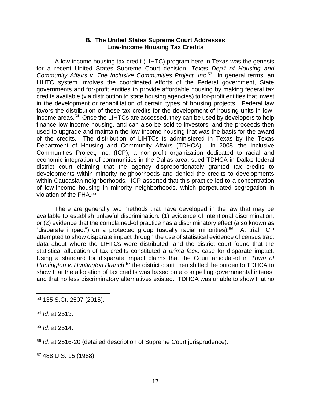#### **B. The United States Supreme Court Addresses Low-Income Housing Tax Credits**

A low-income housing tax credit (LIHTC) program here in Texas was the genesis for a recent United States Supreme Court decision, *Texas Dep't of Housing and*  Community Affairs v. The Inclusive Communities Project, Inc.<sup>53</sup> In general terms, an LIHTC system involves the coordinated efforts of the Federal government, State governments and for-profit entities to provide affordable housing by making federal tax credits available (via distribution to state housing agencies) to for-profit entities that invest in the development or rehabilitation of certain types of housing projects. Federal law favors the distribution of these tax credits for the development of housing units in lowincome areas.<sup>54</sup> Once the LIHTCs are accessed, they can be used by developers to help finance low-income housing, and can also be sold to investors, and the proceeds then used to upgrade and maintain the low-income housing that was the basis for the award of the credits. The distribution of LIHTCs is administered in Texas by the Texas Department of Housing and Community Affairs (TDHCA). In 2008, the Inclusive Communities Project, Inc. (ICP), a non-profit organization dedicated to racial and economic integration of communities in the Dallas area, sued TDHCA in Dallas federal district court claiming that the agency disproportionately granted tax credits to developments within minority neighborhoods and denied the credits to developments within Caucasian neighborhoods. ICP asserted that this practice led to a concentration of low-income housing in minority neighborhoods, which perpetuated segregation in violation of the FHA.<sup>55</sup>

There are generally two methods that have developed in the law that may be available to establish unlawful discrimination: (1) evidence of intentional discrimination, or (2) evidence that the complained-of practice has a discriminatory effect (also known as "disparate impact") on a protected group (usually racial minorities).<sup>56</sup> At trial, ICP attempted to show disparate impact through the use of statistical evidence of census tract data about where the LIHTCs were distributed, and the district court found that the statistical allocation of tax credits constituted a *prima facie* case for disparate impact. Using a standard for disparate impact claims that the Court articulated in *Town of*  Huntington v. Huntington Branch,<sup>57</sup> the district court then shifted the burden to TDHCA to show that the allocation of tax credits was based on a compelling governmental interest and that no less discriminatory alternatives existed. TDHCA was unable to show that no

<sup>53</sup> 135 S.Ct. 2507 (2015).

<sup>54</sup> *Id*. at 2513.

<sup>55</sup> *Id*. at 2514.

<sup>56</sup> *Id*. at 2516-20 (detailed description of Supreme Court jurisprudence).

<sup>57</sup> 488 U.S. 15 (1988).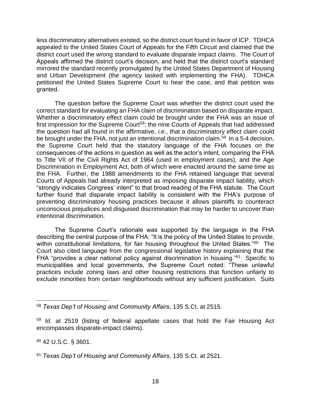less discriminatory alternatives existed, so the district court found in favor of ICP. TDHCA appealed to the United States Court of Appeals for the Fifth Circuit and claimed that the district court used the wrong standard to evaluate disparate impact claims. The Court of Appeals affirmed the district court's decision, and held that the district court's standard mirrored the standard recently promulgated by the United States Department of Housing and Urban Development (the agency tasked with implementing the FHA). TDHCA petitioned the United States Supreme Court to hear the case, and that petition was granted.

The question before the Supreme Court was whether the district court used the correct standard for evaluating an FHA claim of discrimination based on disparate impact. Whether a discriminatory effect claim could be brought under the FHA was an issue of first impression for the Supreme Court<sup>58</sup>; the nine Courts of Appeals that had addressed the question had all found in the affirmative, *i.e.*, that a discriminatory effect claim could be brought under the FHA, not just an intentional discrimination claim.<sup>59</sup> In a 5-4 decision, the Supreme Court held that the statutory language of the FHA focuses on the consequences of the actions in question as well as the actor's intent, comparing the FHA to Title VII of the Civil Rights Act of 1964 (used in employment cases), and the Age Discrimination in Employment Act, both of which were enacted around the same time as the FHA. Further, the 1988 amendments to the FHA retained language that several Courts of Appeals had already interpreted as imposing disparate impact liability, which "strongly indicates Congress' intent" to that broad reading of the FHA statute. The Court further found that disparate impact liability is consistent with the FHA's purpose of preventing discriminatory housing practices because it allows plaintiffs to counteract unconscious prejudices and disguised discrimination that may be harder to uncover than intentional discrimination.

The Supreme Court's rationale was supported by the language in the FHA describing the central purpose of the FHA: "It is the policy of the United States to provide, within constitutional limitations, for fair housing throughout the United States."<sup>60</sup> The Court also cited language from the congressional legislative history explaining that the FHA "provides a clear national policy against discrimination in housing."<sup>61</sup> Specific to municipalities and local governments, the Supreme Court noted: "These unlawful practices include zoning laws and other housing restrictions that function unfairly to exclude minorities from certain neighborhoods without any sufficient justification. Suits

<sup>60</sup> 42 U.S.C. § 3601.

<sup>58</sup> *Texas Dep't of Housing and Community Affairs*, 135 S.Ct. at 2515.

<sup>59</sup> *Id*. at 2519 (listing of federal appellate cases that hold the Fair Housing Act encompasses disparate-impact claims).

<sup>61</sup> *Texas Dep't of Housing and Community Affairs*, 135 S.Ct. at 2521.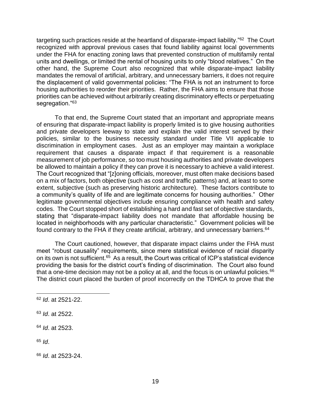targeting such practices reside at the heartland of disparate-impact liability."<sup>62</sup> The Court recognized with approval previous cases that found liability against local governments under the FHA for enacting zoning laws that prevented construction of multifamily rental units and dwellings, or limited the rental of housing units to only "blood relatives." On the other hand, the Supreme Court also recognized that while disparate-impact liability mandates the removal of artificial, arbitrary, and unnecessary barriers, it does not require the displacement of valid governmental policies: "The FHA is not an instrument to force housing authorities to reorder their priorities. Rather, the FHA aims to ensure that those priorities can be achieved without arbitrarily creating discriminatory effects or perpetuating segregation."<sup>63</sup>

To that end, the Supreme Court stated that an important and appropriate means of ensuring that disparate-impact liability is properly limited is to give housing authorities and private developers leeway to state and explain the valid interest served by their policies, similar to the business necessity standard under Title VII applicable to discrimination in employment cases. Just as an employer may maintain a workplace requirement that causes a disparate impact if that requirement is a reasonable measurement of job performance, so too must housing authorities and private developers be allowed to maintain a policy if they can prove it is necessary to achieve a valid interest. The Court recognized that "[z]oning officials, moreover, must often make decisions based on a mix of factors, both objective (such as cost and traffic patterns) and, at least to some extent, subjective (such as preserving historic architecture). These factors contribute to a community's quality of life and are legitimate concerns for housing authorities." Other legitimate governmental objectives include ensuring compliance with health and safety codes. The Court stopped short of establishing a hard and fast set of objective standards, stating that "disparate-impact liability does not mandate that affordable housing be located in neighborhoods with any particular characteristic." Government policies will be found contrary to the FHA if they create artificial, arbitrary, and unnecessary barriers.<sup>64</sup>

The Court cautioned, however, that disparate impact claims under the FHA must meet "robust causality" requirements, since mere statistical evidence of racial disparity on its own is not sufficient.<sup>65</sup> As a result, the Court was critical of ICP's statistical evidence providing the basis for the district court's finding of discrimination. The Court also found that a one-time decision may not be a policy at all, and the focus is on unlawful policies.<sup>66</sup> The district court placed the burden of proof incorrectly on the TDHCA to prove that the

<sup>62</sup> *Id*. at 2521-22.

<sup>63</sup> *Id*. at 2522.

<sup>64</sup> *Id*. at 2523.

<sup>65</sup> *Id*.

<sup>66</sup> *Id*. at 2523-24.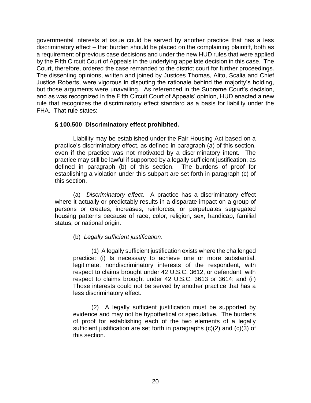governmental interests at issue could be served by another practice that has a less discriminatory effect – that burden should be placed on the complaining plaintiff, both as a requirement of previous case decisions and under the new HUD rules that were applied by the Fifth Circuit Court of Appeals in the underlying appellate decision in this case. The Court, therefore, ordered the case remanded to the district court for further proceedings. The dissenting opinions, written and joined by Justices Thomas, Alito, Scalia and Chief Justice Roberts, were vigorous in disputing the rationale behind the majority's holding, but those arguments were unavailing. As referenced in the Supreme Court's decision, and as was recognized in the Fifth Circuit Court of Appeals' opinion, HUD enacted a new rule that recognizes the discriminatory effect standard as a basis for liability under the FHA. That rule states:

# **§ 100.500 Discriminatory effect prohibited.**

Liability may be established under the Fair Housing Act based on a practice's discriminatory effect, as defined in paragraph (a) of this section, even if the practice was not motivated by a discriminatory intent. The practice may still be lawful if supported by a legally sufficient justification, as defined in paragraph (b) of this section. The burdens of proof for establishing a violation under this subpart are set forth in paragraph (c) of this section.

(a) *Discriminatory effect*. A practice has a discriminatory effect where it actually or predictably results in a disparate impact on a group of persons or creates, increases, reinforces, or perpetuates segregated housing patterns because of race, color, religion, sex, handicap, familial status, or national origin.

# (b) *Legally sufficient justification*.

(1) A legally sufficient justification exists where the challenged practice: (i) Is necessary to achieve one or more substantial, legitimate, nondiscriminatory interests of the respondent, with respect to claims brought under 42 U.S.C. 3612, or defendant, with respect to claims brought under 42 U.S.C. 3613 or 3614; and (ii) Those interests could not be served by another practice that has a less discriminatory effect.

(2) A legally sufficient justification must be supported by evidence and may not be hypothetical or speculative. The burdens of proof for establishing each of the two elements of a legally sufficient justification are set forth in paragraphs (c)(2) and (c)(3) of this section.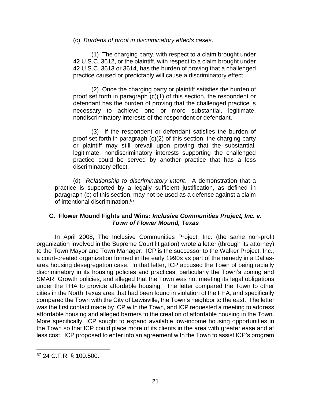#### (c) *Burdens of proof in discriminatory effects cases*.

(1) The charging party, with respect to a claim brought under 42 U.S.C. 3612, or the plaintiff, with respect to a claim brought under 42 U.S.C. 3613 or 3614, has the burden of proving that a challenged practice caused or predictably will cause a discriminatory effect.

(2) Once the charging party or plaintiff satisfies the burden of proof set forth in paragraph (c)(1) of this section, the respondent or defendant has the burden of proving that the challenged practice is necessary to achieve one or more substantial, legitimate, nondiscriminatory interests of the respondent or defendant.

(3) If the respondent or defendant satisfies the burden of proof set forth in paragraph (c)(2) of this section, the charging party or plaintiff may still prevail upon proving that the substantial, legitimate, nondiscriminatory interests supporting the challenged practice could be served by another practice that has a less discriminatory effect.

(d) *Relationship to discriminatory intent*. A demonstration that a practice is supported by a legally sufficient justification, as defined in paragraph (b) of this section, may not be used as a defense against a claim of intentional discrimination.<sup>67</sup>

#### **C. Flower Mound Fights and Wins:** *Inclusive Communities Project, Inc. v. Town of Flower Mound, Texas*

In April 2008, The Inclusive Communities Project, Inc. (the same non-profit organization involved in the Supreme Court litigation) wrote a letter (through its attorney) to the Town Mayor and Town Manager. ICP is the successor to the Walker Project, Inc., a court-created organization formed in the early 1990s as part of the remedy in a Dallasarea housing desegregation case. In that letter, ICP accused the Town of being racially discriminatory in its housing policies and practices, particularly the Town's zoning and SMARTGrowth policies, and alleged that the Town was not meeting its legal obligations under the FHA to provide affordable housing. The letter compared the Town to other cities in the North Texas area that had been found in violation of the FHA, and specifically compared the Town with the City of Lewisville, the Town's neighbor to the east. The letter was the first contact made by ICP with the Town, and ICP requested a meeting to address affordable housing and alleged barriers to the creation of affordable housing in the Town. More specifically, ICP sought to expand available low-income housing opportunities in the Town so that ICP could place more of its clients in the area with greater ease and at less cost. ICP proposed to enter into an agreement with the Town to assist ICP's program

<sup>67</sup> 24 C.F.R. § 100.500.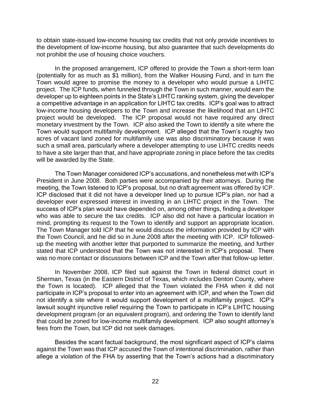to obtain state-issued low-income housing tax credits that not only provide incentives to the development of low-income housing, but also guarantee that such developments do not prohibit the use of housing choice vouchers.

In the proposed arrangement, ICP offered to provide the Town a short-term loan (potentially for as much as \$1 million), from the Walker Housing Fund, and in turn the Town would agree to promise the money to a developer who would pursue a LIHTC project. The ICP funds, when funneled through the Town in such manner, would earn the developer up to eighteen points in the State's LIHTC ranking system, giving the developer a competitive advantage in an application for LIHTC tax credits. ICP's goal was to attract low-income housing developers to the Town and increase the likelihood that an LIHTC project would be developed. The ICP proposal would not have required any direct monetary investment by the Town. ICP also asked the Town to identify a site where the Town would support multifamily development. ICP alleged that the Town's roughly two acres of vacant land zoned for multifamily use was also discriminatory because it was such a small area, particularly where a developer attempting to use LIHTC credits needs to have a site larger than that, and have appropriate zoning in place before the tax credits will be awarded by the State.

The Town Manager considered ICP's accusations, and nonetheless met with ICP's President in June 2008. Both parties were accompanied by their attorneys. During the meeting, the Town listened to ICP's proposal, but no draft agreement was offered by ICP. ICP disclosed that it did not have a developer lined up to pursue ICP's plan, nor had a developer ever expressed interest in investing in an LIHTC project in the Town. The success of ICP's plan would have depended on, among other things, finding a developer who was able to secure the tax credits. ICP also did not have a particular location in mind, prompting its request to the Town to identify and support an appropriate location. The Town Manager told ICP that he would discuss the information provided by ICP with the Town Council, and he did so in June 2008 after the meeting with ICP. ICP followedup the meeting with another letter that purported to summarize the meeting, and further stated that ICP understood that the Town was not interested in ICP's proposal. There was no more contact or discussions between ICP and the Town after that follow-up letter.

In November 2008, ICP filed suit against the Town in federal district court in Sherman, Texas (in the Eastern District of Texas, which includes Denton County, where the Town is located). ICP alleged that the Town violated the FHA when it did not participate in ICP's proposal to enter into an agreement with ICP, and when the Town did not identify a site where it would support development of a multifamily project. ICP's lawsuit sought injunctive relief requiring the Town to participate in ICP's LIHTC housing development program (or an equivalent program), and ordering the Town to identify land that could be zoned for low-income multifamily development. ICP also sought attorney's fees from the Town, but ICP did not seek damages.

Besides the scant factual background, the most significant aspect of ICP's claims against the Town was that ICP accused the Town of intentional discrimination, rather than allege a violation of the FHA by asserting that the Town's actions had a discriminatory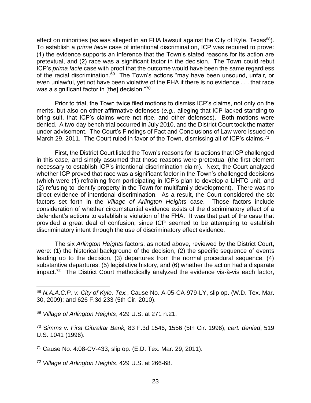effect on minorities (as was alleged in an FHA lawsuit against the City of Kyle, Texas $68$ ). To establish a *prima facie* case of intentional discrimination, ICP was required to prove: (1) the evidence supports an inference that the Town's stated reasons for its action are pretextual, and (2) race was a significant factor in the decision. The Town could rebut ICP's *prima facie* case with proof that the outcome would have been the same regardless of the racial discrimination.<sup>69</sup> The Town's actions "may have been unsound, unfair, or even unlawful, yet not have been violative of the FHA if there is no evidence . . . that race was a significant factor in [the] decision."70

Prior to trial, the Town twice filed motions to dismiss ICP's claims, not only on the merits, but also on other affirmative defenses (*e.g.*, alleging that ICP lacked standing to bring suit, that ICP's claims were not ripe, and other defenses). Both motions were denied. A two-day bench trial occurred in July 2010, and the District Court took the matter under advisement. The Court's Findings of Fact and Conclusions of Law were issued on March 29, 2011. The Court ruled in favor of the Town, dismissing all of ICP's claims.<sup>71</sup>

First, the District Court listed the Town's reasons for its actions that ICP challenged in this case, and simply assumed that those reasons were pretextual (the first element necessary to establish ICP's intentional discrimination claim). Next, the Court analyzed whether ICP proved that race was a significant factor in the Town's challenged decisions (which were (1) refraining from participating in ICP's plan to develop a LIHTC unit, and (2) refusing to identify property in the Town for multifamily development). There was no direct evidence of intentional discrimination. As a result, the Court considered the six factors set forth in the *Village of Arlington Heights* case. Those factors include consideration of whether circumstantial evidence exists of the discriminatory effect of a defendant's actions to establish a violation of the FHA. It was that part of the case that provided a great deal of confusion, since ICP seemed to be attempting to establish discriminatory intent through the use of discriminatory effect evidence.

The six *Arlington Heights* factors, as noted above, reviewed by the District Court, were: (1) the historical background of the decision, (2) the specific sequence of events leading up to the decision, (3) departures from the normal procedural sequence, (4) substantive departures, (5) legislative history, and (6) whether the action had a disparate impact.<sup>72</sup> The District Court methodically analyzed the evidence vis-à-vis each factor,

<sup>72</sup> *Village of Arlington Heights*, 429 U.S. at 266-68.

<sup>68</sup> *N.A.A.C.P. v. City of Kyle, Tex.*, Cause No. A-05-CA-979-LY, slip op. (W.D. Tex. Mar. 30, 2009); and 626 F.3d 233 (5th Cir. 2010).

<sup>69</sup> *Village of Arlington Heights*, 429 U.S. at 271 n.21.

<sup>70</sup> S*imms v. First Gibraltar Bank,* 83 F.3d 1546, 1556 (5th Cir. 1996), *cert. denied*, 519 U.S. 1041 (1996).

<sup>71</sup> Cause No. 4:08-CV-433, slip op. (E.D. Tex. Mar. 29, 2011).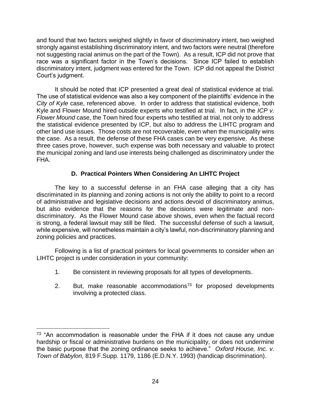and found that two factors weighed slightly in favor of discriminatory intent, two weighed strongly against establishing discriminatory intent, and two factors were neutral (therefore not suggesting racial animus on the part of the Town). As a result, ICP did not prove that race was a significant factor in the Town's decisions. Since ICP failed to establish discriminatory intent, judgment was entered for the Town. ICP did not appeal the District Court's judgment.

It should be noted that ICP presented a great deal of statistical evidence at trial. The use of statistical evidence was also a key component of the plaintiffs' evidence in the *City of Kyle* case, referenced above. In order to address that statistical evidence, both Kyle and Flower Mound hired outside experts who testified at trial. In fact, in the *ICP v. Flower Mound* case, the Town hired four experts who testified at trial, not only to address the statistical evidence presented by ICP, but also to address the LIHTC program and other land use issues. Those costs are not recoverable, even when the municipality wins the case. As a result, the defense of these FHA cases can be very expensive. As these three cases prove, however, such expense was both necessary and valuable to protect the municipal zoning and land use interests being challenged as discriminatory under the FHA.

# **D. Practical Pointers When Considering An LIHTC Project**

The key to a successful defense in an FHA case alleging that a city has discriminated in its planning and zoning actions is not only the ability to point to a record of administrative and legislative decisions and actions devoid of discriminatory animus, but also evidence that the reasons for the decisions were legitimate and nondiscriminatory. As the Flower Mound case above shows, even when the factual record is strong, a federal lawsuit may still be filed. The successful defense of such a lawsuit, while expensive, will nonetheless maintain a city's lawful, non-discriminatory planning and zoning policies and practices.

Following is a list of practical pointers for local governments to consider when an LIHTC project is under consideration in your community:

- 1. Be consistent in reviewing proposals for all types of developments.
- 2. But, make reasonable accommodations<sup>73</sup> for proposed developments involving a protected class.

 $73$  "An accommodation is reasonable under the FHA if it does not cause any undue hardship or fiscal or administrative burdens on the municipality, or does not undermine the basic purpose that the zoning ordinance seeks to achieve." *Oxford House, Inc. v. Town of Babylon,* 819 F.Supp. 1179, 1186 (E.D.N.Y. 1993) (handicap discrimination).